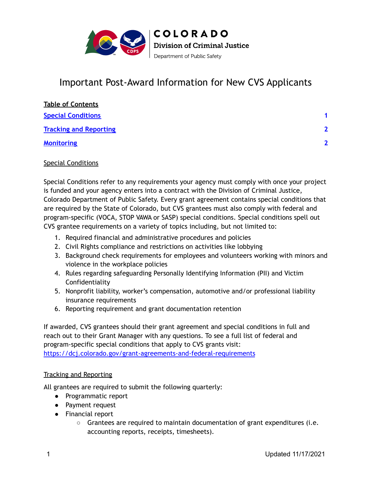

## Important Post-Award Information for New CVS Applicants

| <b>Table of Contents</b>      |                         |
|-------------------------------|-------------------------|
| <b>Special Conditions</b>     |                         |
| <b>Tracking and Reporting</b> | $\overline{\mathbf{z}}$ |
| <b>Monitoring</b>             | $\overline{\mathbf{z}}$ |

## <span id="page-0-0"></span>Special Conditions

Special Conditions refer to any requirements your agency must comply with once your project is funded and your agency enters into a contract with the Division of Criminal Justice, Colorado Department of Public Safety. Every grant agreement contains special conditions that are required by the State of Colorado, but CVS grantees must also comply with federal and program-specific (VOCA, STOP VAWA or SASP) special conditions. Special conditions spell out CVS grantee requirements on a variety of topics including, but not limited to:

- 1. Required financial and administrative procedures and policies
- 2. Civil Rights compliance and restrictions on activities like lobbying
- 3. Background check requirements for employees and volunteers working with minors and violence in the workplace policies
- 4. Rules regarding safeguarding Personally Identifying Information (PII) and Victim **Confidentiality**
- 5. Nonprofit liability, worker's compensation, automotive and/or professional liability insurance requirements
- 6. Reporting requirement and grant documentation retention

If awarded, CVS grantees should their grant agreement and special conditions in full and reach out to their Grant Manager with any questions. To see a full list of federal and program-specific special conditions that apply to CVS grants visit: <https://dcj.colorado.gov/grant-agreements-and-federal-requirements>

## <span id="page-0-1"></span>Tracking and Reporting

All grantees are required to submit the following quarterly:

- Programmatic report
- Payment request
- Financial report
	- $\circ$  Grantees are required to maintain documentation of grant expenditures (i.e. accounting reports, receipts, timesheets).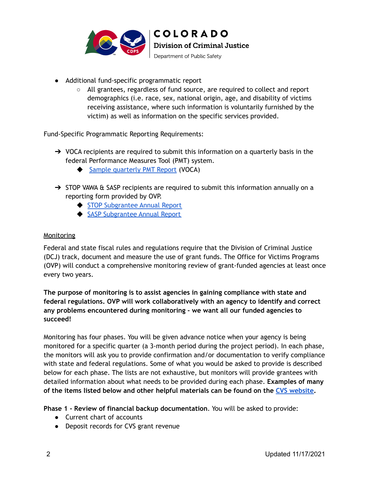

- Additional fund-specific programmatic report
	- ○ All grantees, regardless of fund source, are required to collect and report demographics (i.e. race, sex, national origin, age, and disability of victims receiving assistance, where such information is voluntarily furnished by the victim) as well as information on the specific services provided.

Fund-Specific Programmatic Reporting Requirements:

- $\rightarrow$  VOCA recipients are required to submit this information on a quarterly basis in the federal Performance Measures Tool (PMT) system.
	- ◆ Sample [quarterly](https://drive.google.com/file/d/1fIVYZwwslj_WAof51IZgd1pqSs1UjMlG/view) PMT Report (VOCA)
- → STOP VAWA & SASP recipients are required to submit this information annually on a reporting form provided by OVP.
	- ◆ STOP [Subgrantee](https://www.vawamei.org/wp-content/uploads/2019/05/STOPSubgrantee_Form2019.pdf) Annual Report
	- ◆ SASP [Subgrantee](https://www.vawamei.org/wp-content/uploads/2018/01/SASPSubgranteeFormGMS.2.29.16.pdf) Annual Report

## <span id="page-1-0"></span>**Monitoring**

 Federal and state fiscal rules and regulations require that the Division of Criminal Justice (DCJ) track, document and measure the use of grant funds. The Office for Victims Programs (OVP) will conduct a comprehensive monitoring review of grant-funded agencies at least once every two years.

 **The purpose of monitoring is to assist agencies in gaining compliance with state and federal regulations. OVP will work collaboratively with an agency to identify and correct any problems encountered during monitoring - we want all our funded agencies to succeed!**

 Monitoring has four phases. You will be given advance notice when your agency is being monitored for a specific quarter (a 3-month period during the project period). In each phase, the monitors will ask you to provide confirmation and/or documentation to verify compliance with state and federal regulations. Some of what you would be asked to provide is described below for each phase. The lists are not exhaustive, but monitors will provide grantees with detailed information about what needs to be provided during each phase. **Examples of many of the items listed below and other helpful materials can be found on the CVS [website.](https://dcj.colorado.gov/dcj-offices/victims-programs/grant-funding-for-agencies/crime-victim-services-funds)**

 **Phase 1 - Review of financial backup documentation**. You will be asked to provide:

- Current chart of accounts
- Deposit records for CVS grant revenue